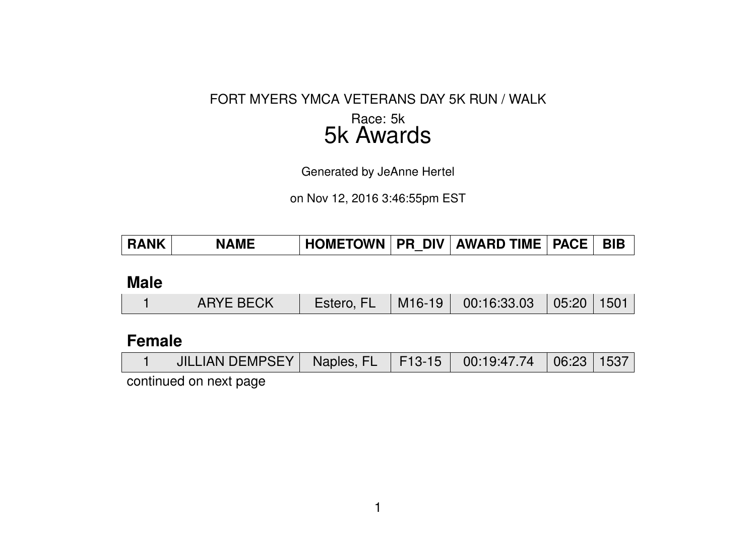#### FORT MYERS YMCA VETERANS DAY 5K RUN / WALK

### Race: 5k 5k Awards

Generated by JeAnne Hertel

on Nov 12, 2016 3:46:55pm EST

| HOMETOWN   PR DIV   AWARD TIME   PACE   BIB<br><b>RANK</b><br><b>NAME</b> |
|---------------------------------------------------------------------------|
|---------------------------------------------------------------------------|

## **Male**

|  | <b>ARYE BECK</b> | Estero, FL |  | $\mid$ M16-19 $\mid$ 00:16:33.03 $\mid$ 05:20 $\mid$ 1501 $\mid$ |  |  |
|--|------------------|------------|--|------------------------------------------------------------------|--|--|
|--|------------------|------------|--|------------------------------------------------------------------|--|--|

### **Female**

|  |  | JILLIAN DEMPSEY   Naples, FL   F13-15   00:19:47.74   06:23   1537 |  |  |  |  |  |
|--|--|--------------------------------------------------------------------|--|--|--|--|--|
|--|--|--------------------------------------------------------------------|--|--|--|--|--|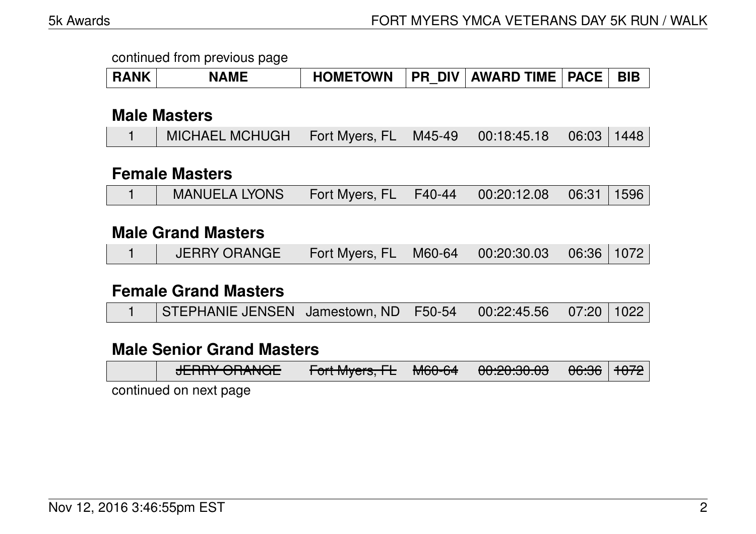| <b>RANK</b> | <b>NAME</b> | <b>HOMETOWN</b> |  | PR DIV   AWARD TIME   PACE   BIB |  |  |
|-------------|-------------|-----------------|--|----------------------------------|--|--|
|-------------|-------------|-----------------|--|----------------------------------|--|--|

### **Male Masters**

| MICHAEL MCHUGH   Fort Myers, FL   M45-49   00:18:45.18   06:03   1448 |
|-----------------------------------------------------------------------|
|-----------------------------------------------------------------------|

### **Female Masters**

|  | MANUELA LYONS   Fort Myers, FL   F40-44   00:20:12.08   06:31   1596 |  |  |  |  |  |
|--|----------------------------------------------------------------------|--|--|--|--|--|
|--|----------------------------------------------------------------------|--|--|--|--|--|

### **Male Grand Masters**

|  | ◯ JERRY ORANGE   Fort Myers, FL   M60-64   00:20:30.03   06:36   1072 |  |  |  |  |  |
|--|-----------------------------------------------------------------------|--|--|--|--|--|
|--|-----------------------------------------------------------------------|--|--|--|--|--|

#### **Female Grand Masters**

|  | STEPHANIE JENSEN   Jamestown, ND   F50-54   00:22:45.56   07:20   1022 |  |  |  |  |  |
|--|------------------------------------------------------------------------|--|--|--|--|--|
|--|------------------------------------------------------------------------|--|--|--|--|--|

### **Male Senior Grand Masters**

| $I$ $\Gamma$ $D$ $D$ $V$ $\cap$ $D$ $I$ $I$ $I$ $\cap$ $\Gamma$<br>$\sigma$ | $\Gamma$ <sub>o</sub> $\mu$ $\Lambda$ $\mu$ <sub>0</sub> $\mu$ <sub>0</sub> $\Gamma$ <sub>1</sub><br><u> דטונואוקסוס, דב   דון פוסיטסיט (</u> | MCACH | LOU'OU'OU UU | $ACAC$ $AOZ$<br><del>ರರ.ಕರ</del>   <del>1072</del> |  |
|-----------------------------------------------------------------------------|-----------------------------------------------------------------------------------------------------------------------------------------------|-------|--------------|----------------------------------------------------|--|
|                                                                             |                                                                                                                                               |       |              |                                                    |  |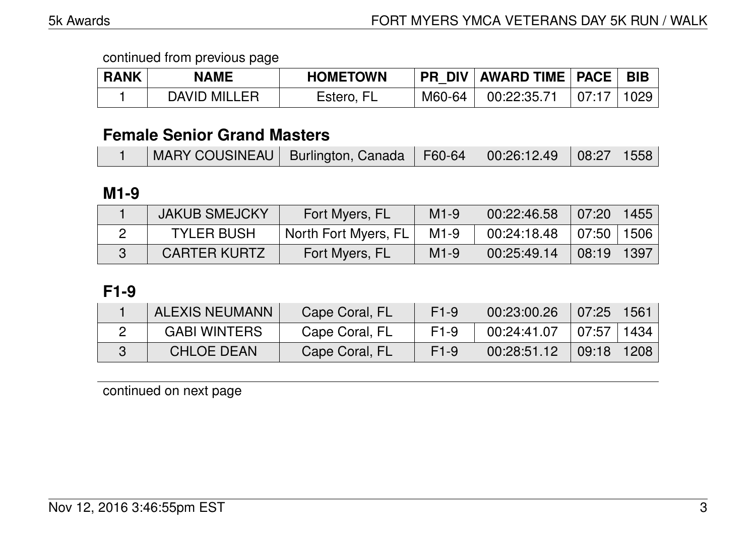| <b>RANK</b> | <b>NAME</b>  | <b>HOMETOWN</b> | <b>PR DIV</b> | AWARD TIME   PACE |       | <b>BIB</b> |
|-------------|--------------|-----------------|---------------|-------------------|-------|------------|
|             | DAVID MILLER | Estero, FL      | M60-64        | 00:22:35.71       | 07:17 | 029        |

### **Female Senior Grand Masters**

|  |  | MARY COUSINEAU   Burlington, Canada   F60-64   00:26:12.49   08:27   1558 |  |  |  |  |
|--|--|---------------------------------------------------------------------------|--|--|--|--|
|--|--|---------------------------------------------------------------------------|--|--|--|--|

### **M1-9**

| <b>JAKUB SMEJCKY</b> | Fort Myers, FL       | $M1-9$ | 00:22:46.58 | 07:20                 | 1455 |
|----------------------|----------------------|--------|-------------|-----------------------|------|
| <b>TYLER BUSH</b>    | North Fort Myers, FL | $M1-9$ | 00:24:18.48 | 07:50 1506            |      |
| <b>CARTER KURTZ</b>  | Fort Myers, FL       | $M1-9$ | 00:25:49.14 | $\vert$ 08:19 $\vert$ | 1397 |

## **F1-9**

| <b>ALEXIS NEUMANN</b> | Cape Coral, FL | $F1-9$           | 00:23:00.26 | 07:25          | 1561 |
|-----------------------|----------------|------------------|-------------|----------------|------|
| <b>GABI WINTERS</b>   | Cape Coral, FL | F <sub>1-9</sub> | 00:24:41.07 | 07:57   1434   |      |
| <b>CHLOE DEAN</b>     | Cape Coral, FL | $F1-9$           | 00:28:51.12 | $09:18$   1208 |      |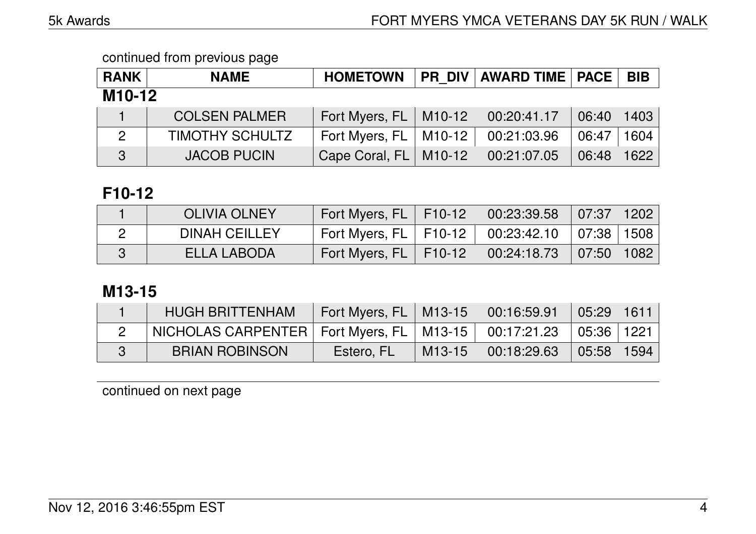| <b>RANK</b>         | <b>NAME</b>            | <b>HOMETOWN</b>              |  | <b>PR DIV AWARD TIME   PACE</b> |       | <b>BIB</b> |  |  |
|---------------------|------------------------|------------------------------|--|---------------------------------|-------|------------|--|--|
| M <sub>10</sub> -12 |                        |                              |  |                                 |       |            |  |  |
|                     | <b>COLSEN PALMER</b>   | Fort Myers, FL   M10-12      |  | 00:20:41.17                     | 06:40 | 1403       |  |  |
| 2                   | <b>TIMOTHY SCHULTZ</b> | Fort Myers, $FL$   M10-12    |  | 00:21:03.96                     | 06:47 | 1604       |  |  |
| 3                   | <b>JACOB PUCIN</b>     | Cape Coral, $FL \mid M10-12$ |  | 00:21:07.05                     | 06:48 | 1622       |  |  |

## **F10-12**

| <b>OLIVIA OLNEY</b>  | Fort Myers, FL   F10-12   00:23:39.58   07:37   1202 |                                                                                         |  |
|----------------------|------------------------------------------------------|-----------------------------------------------------------------------------------------|--|
| <b>DINAH CEILLEY</b> | Fort Myers, FL   F10-12   00:23:42.10   07:38   1508 |                                                                                         |  |
| ELLA LABODA          | Fort Myers, FL   F10-12   \                          | $\begin{array}{ c c c c c c c c } \hline 00.24.18.73 & 07.50 & 1082 \hline \end{array}$ |  |

## **M13-15**

| <b>HUGH BRITTENHAM</b>                                                    | Cort Myers, FL   M13-15 |          | $\begin{array}{ c c c c c c c c } \hline 00.16.59.91 & 05.29 & 1611 \hline \end{array}$                                                                         |  |
|---------------------------------------------------------------------------|-------------------------|----------|-----------------------------------------------------------------------------------------------------------------------------------------------------------------|--|
| NICHOLAS CARPENTER   Fort Myers, FL   M13-15   00:17:21.23   05:36   1221 |                         |          |                                                                                                                                                                 |  |
| <b>BRIAN ROBINSON</b>                                                     | Estero, FL              | $M13-15$ | $\begin{array}{ c c c c c c c c } \hline \rule{0pt}{.5cm} \text{00:18:29.63} & \rule{0pt}{.5cm} \text{05:58} & \rule{0pt}{.5cm} \text{1594} \hline \end{array}$ |  |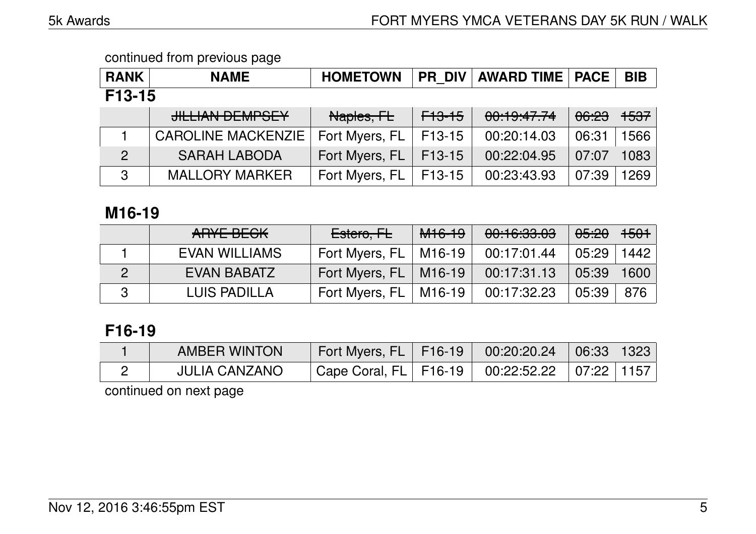| <b>RANK</b>  | <b>NAME</b>               | <b>HOMETOWN</b> |                   | <b>PR DIV   AWARD TIME   PACE  </b> |                  | <b>BIB</b>      |  |  |  |
|--------------|---------------------------|-----------------|-------------------|-------------------------------------|------------------|-----------------|--|--|--|
| $F13-15$     |                           |                 |                   |                                     |                  |                 |  |  |  |
|              | <b>JILLIAN DEMPSEY</b>    | Naples, FL      | <del>F13-15</del> | 00:19:47.74                         | <del>06:23</del> | <del>1537</del> |  |  |  |
|              | <b>CAROLINE MACKENZIE</b> | Fort Myers, FL  | F13-15            | 00:20:14.03                         | 06:31            | 1566            |  |  |  |
| 2            | <b>SARAH LABODA</b>       | Fort Myers, FL  | F13-15            | 00:22:04.95                         | 07:07            | 1083            |  |  |  |
| $\mathbf{3}$ | <b>MALLORY MARKER</b>     | Fort Myers, FL  | F13-15            | 00:23:43.93                         | 07:39            | 1269            |  |  |  |

### **M16-19**

| ARYE BECK            | Estero, FL                | <del>M16-19</del> | 00:16:33.03 | <del>05:20</del> | $  +501 $ |
|----------------------|---------------------------|-------------------|-------------|------------------|-----------|
| <b>EVAN WILLIAMS</b> | Fort Myers, $FL$   M16-19 |                   | 00:17:01.44 | 05:29            | 1442      |
| EVAN BABATZ          | Fort Myers, FL   M16-19   |                   | 00:17:31.13 | 05:39            | 1600      |
| <b>LUIS PADILLA</b>  | Fort Myers, FL            | M16-19            | 00:17:32.23 | 05:39            | 876       |

# **F16-19**

| <b>AMBER WINTON</b>  | Fort Myers, FL   F16-19   00:20:20.24   06:33   1323 |                                          |  |
|----------------------|------------------------------------------------------|------------------------------------------|--|
| <b>JULIA CANZANO</b> | $\top$ Cape Coral, FL $\mid$ F16-19 $\mid$           | $\vert$ 00:22:52.22 $\vert$ 07:22   1157 |  |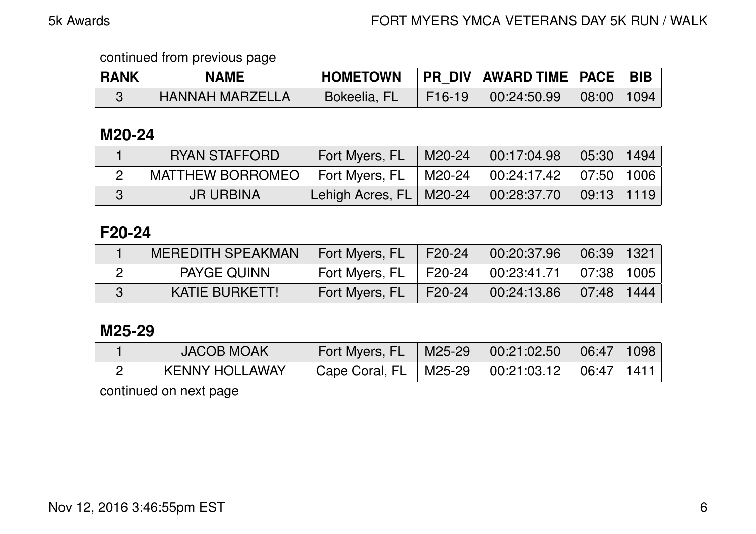| <b>RANK</b> | <b>NAME</b>            | <b>HOMETOWN</b> |        | PR_DIV   AWARD TIME   PACE   BIB |       |      |
|-------------|------------------------|-----------------|--------|----------------------------------|-------|------|
|             | <b>HANNAH MARZELLA</b> | Bokeelia, FL    | F16-19 | 100:24:50.99                     | 08:00 | 1094 |

### **M20-24**

|   | RYAN STAFFORD    | Fort Myers, FL                         | M20-24   00:17:04.98   05:30   1494                                                 |  |
|---|------------------|----------------------------------------|-------------------------------------------------------------------------------------|--|
|   | MATTHEW BORROMEO | Fort Myers, FL                         | $\mid$ M20-24 $\mid$ 00:24:17.42 $\mid$ 07:50   1006                                |  |
| З | <b>JR URBINA</b> | <sup>।</sup> Lehigh Acres, FL   M20-24 | $\begin{array}{ c c c c c c } \hline 00:28:37.70 & 09:13 & 1119 \hline \end{array}$ |  |

## **F20-24**

| MEREDITH SPEAKMAN  | Fort Myers, FL   | F20-24 | 00:20:37.96                                                                             | 06:39 1321 |  |
|--------------------|------------------|--------|-----------------------------------------------------------------------------------------|------------|--|
| <b>PAYGE QUINN</b> | Fort Myers, $FL$ | F20-24 | $\begin{array}{ c c c c c c c c } \hline 00:23:41.71 & 07:38 & 1005 \hline \end{array}$ |            |  |
| KATIE BURKETT!     | Fort Myers, FL   | F20-24 | $00:24:13.86$ $\mid 07:48 \mid 1444 \mid$                                               |            |  |

### **M25-29**

| <b>JACOB MOAK</b>     | Fort Myers, FL   | $M25-29$ | $\parallel$ 00:21:02.50 $\parallel$ 06:47 $\parallel$ 1098 $\parallel$ |  |
|-----------------------|------------------|----------|------------------------------------------------------------------------|--|
| <b>KENNY HOLLAWAY</b> | Cape Coral, FL + |          | $\mid$ M25-29 $\mid$ 00:21:03.12 $\mid$ 06:47   1411                   |  |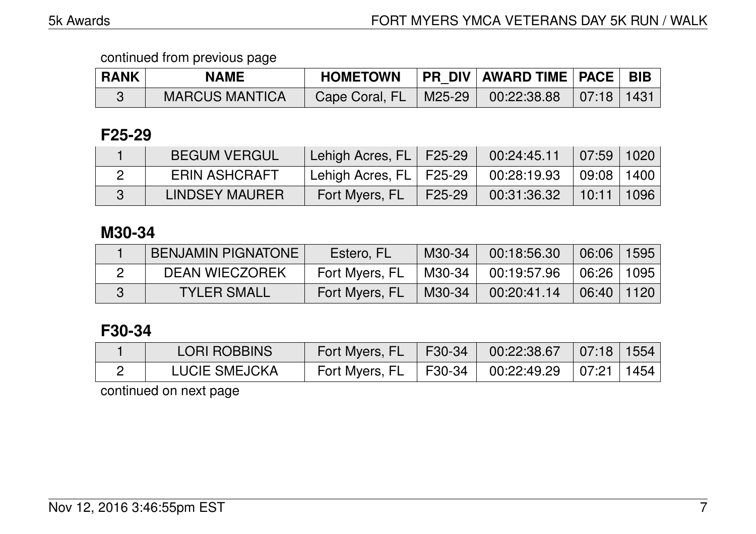| <b>RANK</b> | <b>NAME</b>           | <b>HOMETOWN</b>                                   | <b>PR DIV AWARD TIME PACE BIB</b> |      |
|-------------|-----------------------|---------------------------------------------------|-----------------------------------|------|
|             | <b>MARCUS MANTICA</b> | Cape Coral, FL   M25-29   00:22:38.88   07:18   \ |                                   | 1431 |

### **F25-29**

| <b>BEGUM VERGUL</b>  | Lehigh Acres, FL   F25-29 |        | 00:24:45.11 | 07:59                    | 1020 |
|----------------------|---------------------------|--------|-------------|--------------------------|------|
| <b>ERIN ASHCRAFT</b> | Lehigh Acres, FL   F25-29 |        | 00:28:19.93 | $\mid$ 09:08 $\mid$ 1400 |      |
| LINDSEY MAURER       | Fort Myers, FL            | F25-29 | 00:31:36.32 | $10:11$ 1096             |      |

# **M30-34**

| <b>BENJAMIN PIGNATONE</b> | Estero, FL     | $M30-34$ | 00:18:56.30 | 106:06              | 1595 |
|---------------------------|----------------|----------|-------------|---------------------|------|
| <b>DEAN WIECZOREK</b>     | Fort Myers, FL | M30-34 I | 00:19:57.96 | $\mid$ 06:26 $\mid$ | 1095 |
| <b>TYLER SMALL</b>        | Fort Myers, FL | M30-34   | 00:20:41.14 | 06:40 1120          |      |

# **F30-34**

| <b>LORI ROBBINS</b>  | Fort Myers, FL   F30-34                              | $\parallel$ 00:22:38.67   07:18   1554 |  |
|----------------------|------------------------------------------------------|----------------------------------------|--|
| <b>LUCIE SMEJCKA</b> | Fort Myers, FL   F30-34   00:22:49.29   07:21   1454 |                                        |  |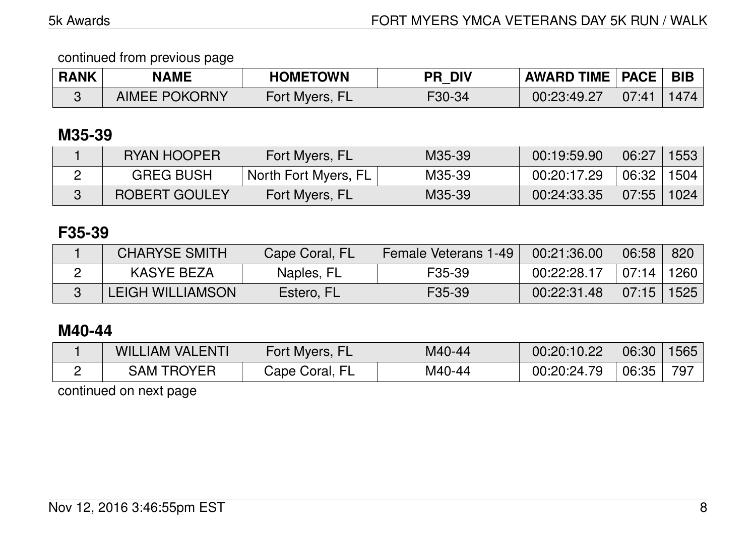| <b>RANK</b> | <b>NAME</b>          | <b>HOMETOWN</b> | <b>DIV</b><br>PR∍ | <b>AWARD TIME   PACE  </b> |       | <b>BIB</b> |
|-------------|----------------------|-----------------|-------------------|----------------------------|-------|------------|
|             | <b>AIMEE POKORNY</b> | Fort Myers, FL  | $F30-34$          | 00:23:49.27                | 07:41 | 1474       |

# **M35-39**

| RYAN HOOPER          | Fort Myers, FL       | M35-39 | 00:19:59.90 | 06:27        | 1553 |
|----------------------|----------------------|--------|-------------|--------------|------|
| <b>GREG BUSH</b>     | North Fort Myers, FL | M35-39 | 00:20:17.29 | 06:32   1504 |      |
| <b>ROBERT GOULEY</b> | Fort Myers, FL       | M35-39 | 00:24:33.35 | 07:55        | 1024 |

# **F35-39**

| <b>CHARYSE SMITH</b> | Cape Coral, FL | Female Veterans 1-49 | 00:21:36.00 | 06:58            | 820 |
|----------------------|----------------|----------------------|-------------|------------------|-----|
| KASYE BEZA           | Naples, FL     | F35-39               | 00:22:28.17 | ∣ 07:14 ∣ 1260 I |     |
| LEIGH WILLIAMSON     | Estero, FL     | F <sub>35</sub> -39  | 00:22:31.48 | $07:15$   1525   |     |

# **M40-44**

| <b>WILLIAM VALENTI</b> | Fort Myers,       | M40-44 | 00:20:10.22 | 06:30 | 1565 |
|------------------------|-------------------|--------|-------------|-------|------|
| TROYER<br>ٔ AMذ        | EI<br>Cape Coral, | M40-44 | 00:20:24.79 | 06:35 | 797  |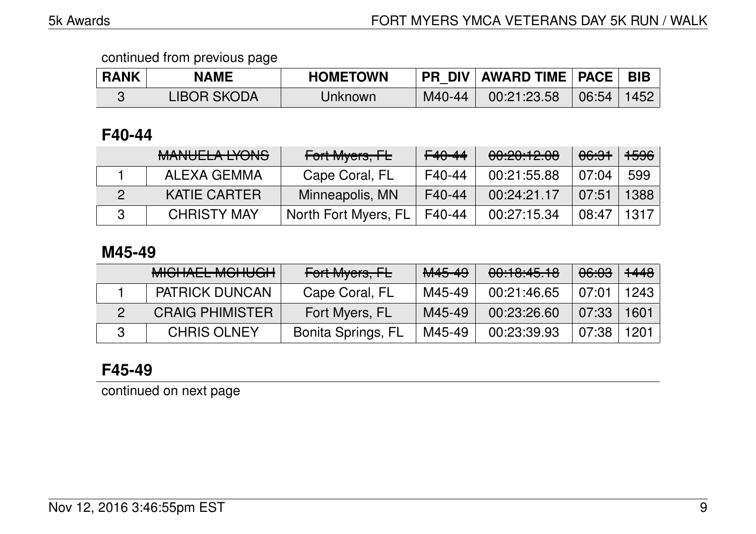| <b>RANK</b> | NAME               | <b>HOMETOWN</b> | <b>PR DIV</b> | <b>AWARD TIME   PACE</b> |       | <b>BIB</b> |
|-------------|--------------------|-----------------|---------------|--------------------------|-------|------------|
|             | <b>LIBOR SKODA</b> | Jnknown         | M40-44        | 00:21:23.58              | 06:54 | 1452       |

## **F40-44**

| MANILIEL A IVONIC<br><b>MARULLA LIVINU</b> | Fort Myers, FL       | $F40 - 44$ | 00:20:12.08 | <del>06:31</del> | <del>1596</del> |
|--------------------------------------------|----------------------|------------|-------------|------------------|-----------------|
| ALEXA GEMMA                                | Cape Coral, FL       | F40-44     | 00:21:55.88 | 07:04            | 599             |
| <b>KATIE CARTER</b>                        | Minneapolis, MN      | F40-44     | 00:24:21.17 | 07:51            | 1388            |
| <b>CHRISTY MAY</b>                         | North Fort Myers, FL | F40-44     | 00:27:15.34 | 08:47            | 1317            |

### **M45-49**

| <b>MICHAEL MCHUGH</b>  | Fort Myers, FL            | <del>M45-49</del> | 00:10:45.10 | <del>06:03</del> | <del>1448</del> |
|------------------------|---------------------------|-------------------|-------------|------------------|-----------------|
| <b>PATRICK DUNCAN</b>  | Cape Coral, FL            | M45-49            | 00:21:46.65 | 07:01            | 1243            |
| <b>CRAIG PHIMISTER</b> | Fort Myers, FL            | M45-49            | 00:23:26.60 | 07:33            | 1601            |
| <b>CHRIS OLNEY</b>     | <b>Bonita Springs, FL</b> | M45-49            | 00:23:39.93 | 07:38            | 1201            |

# **F45-49**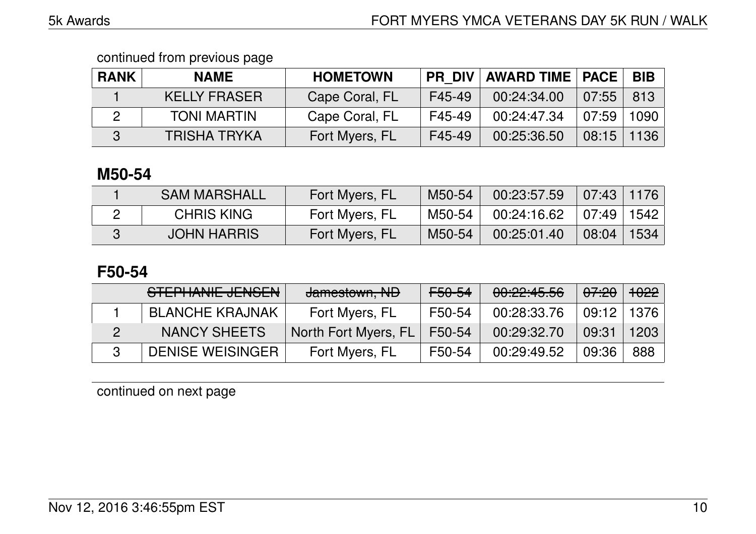| <b>RANK</b> | <b>NAME</b>         | <b>HOMETOWN</b> | <b>PR DIV</b> | <b>AWARD TIME   PACE</b> |       | <b>BIB</b> |
|-------------|---------------------|-----------------|---------------|--------------------------|-------|------------|
|             | <b>KELLY FRASER</b> | Cape Coral, FL  | F45-49        | 00:24:34.00              | 07:55 | 813        |
|             | <b>TONI MARTIN</b>  | Cape Coral, FL  | F45-49        | 00:24:47.34              | 07:59 | 1090       |
| 3           | <b>TRISHA TRYKA</b> | Fort Myers, FL  | F45-49        | 00:25:36.50              | 08:15 | 1136       |

## **M50-54**

| <b>SAM MARSHALL</b> | Fort Myers, FL | M50-54   | 00:23:57.59 | 07:43 1176 |      |
|---------------------|----------------|----------|-------------|------------|------|
| <b>CHRIS KING</b>   | Fort Myers, FL | M50-54,  | 00:24:16.62 | 07:49      | 1542 |
| <b>JOHN HARRIS</b>  | Fort Myers, FL | $M50-54$ | 00:25:01.40 | 08:04      | 1534 |

# **F50-54**

| STEPHANIE JENSEN        | Jamestown, ND        | <del>F50-54</del> | 00:22:45.56 | <del>07:20</del> | 1022 |
|-------------------------|----------------------|-------------------|-------------|------------------|------|
| <b>BLANCHE KRAJNAK</b>  | Fort Myers, FL       | F50-54            | 00:28:33.76 | $09:12$   1376   |      |
| NANCY SHEETS            | North Fort Myers, FL | F50-54            | 00:29:32.70 | 09:31            | 1203 |
| <b>DENISE WEISINGER</b> | Fort Myers, FL       | F50-54            | 00:29:49.52 | 09:36            | 888  |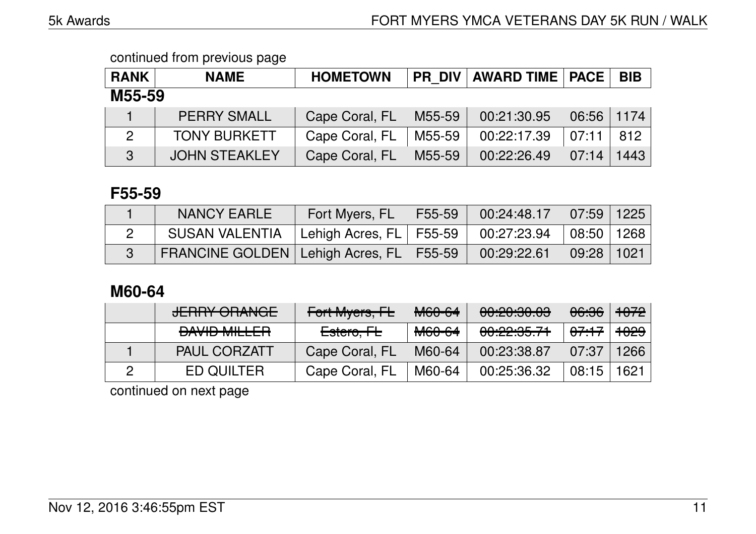| <b>RANK</b>    | <b>NAME</b>          | <b>HOMETOWN</b> |        | PR DIV   AWARD TIME   PACE |       | <b>BIB</b> |  |  |  |
|----------------|----------------------|-----------------|--------|----------------------------|-------|------------|--|--|--|
|                | M55-59               |                 |        |                            |       |            |  |  |  |
|                | <b>PERRY SMALL</b>   | Cape Coral, FL  | M55-59 | 00:21:30.95                | 06:56 | 1174       |  |  |  |
| $\overline{2}$ | <b>TONY BURKETT</b>  | Cape Coral, FL  | M55-59 | 00:22:17.39                | 07:11 | 812        |  |  |  |
| 3              | <b>JOHN STEAKLEY</b> | Cape Coral, FL  | M55-59 | 00:22:26.49                | 07:14 | 1443       |  |  |  |

### **F55-59**

| <b>NANCY EARLE</b>                                                       | Fort Myers, FL F55-59 00:24:48.17 07:59 1225 |  |  |
|--------------------------------------------------------------------------|----------------------------------------------|--|--|
| SUSAN VALENTIA   Lehigh Acres, FL   F55-59   00:27:23.94   08:50   1268  |                                              |  |  |
| FRANCINE GOLDEN   Lehigh Acres, FL   F55-59   00:29:22.61   09:28   1021 |                                              |  |  |

# **M60-64**

| <b>JERRY ORANGE</b>          | Fort Myers, FL         | M60-64            | 00:20:30.03                         | <del>06:36</del> | $\sqrt[1]{+072}$ |
|------------------------------|------------------------|-------------------|-------------------------------------|------------------|------------------|
| $\mathbf{L}$<br>DAVID MILLEN | Estero <del>, FL</del> | <del>M60-64</del> | 0.00000774<br><u>UU. 22. JJ. LI</u> | <del>07:17</del> | <del>1029</del>  |
| <b>PAUL CORZATT</b>          | Cape Coral, FL         | M60-64            | 00:23:38.87                         | 07:37            | 1266             |
| <b>ED QUILTER</b>            | Cape Coral, FL         | M60-64            | 00:25:36.32                         | 08:15            | 1621             |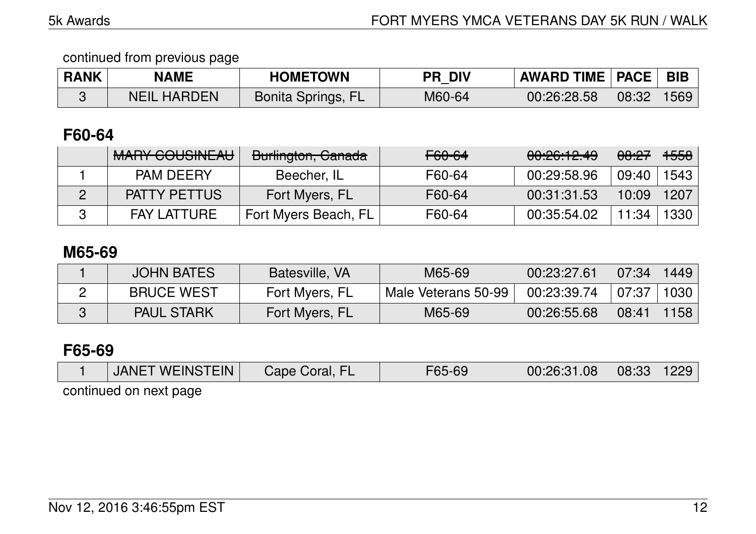| <b>RANK</b> | <b>NAME</b>        | <b>HOMETOWN</b>           | <b>PR DIV</b> | <b>AWARD TIME   PACE   BIB</b> |       |      |
|-------------|--------------------|---------------------------|---------------|--------------------------------|-------|------|
|             | <b>NEIL HARDEN</b> | <b>Bonita Springs, FL</b> | M60-64        | 00:26:28.58                    | 08:32 | 1569 |

# **F60-64**

| <u>MADV COLICINIT ALL</u><br><b>MALLE OUUULAU</b> | Burlington, Canada   | F60-64 | 00:26:12.49 | <del>08:27</del> | <del>1558</del> |
|---------------------------------------------------|----------------------|--------|-------------|------------------|-----------------|
| <b>PAM DEERY</b>                                  | Beecher, IL          | F60-64 | 00:29:58.96 | 09:40            | 1543            |
| <b>PATTY PETTUS</b>                               | Fort Myers, FL       | F60-64 | 00:31:31.53 | 10:09            | 1207            |
| <b>FAY LATTURE</b>                                | Fort Myers Beach, FL | F60-64 | 00:35:54.02 | 11:34            | 1330            |

## **M65-69**

| <b>JOHN BATES</b> | Batesville, VA | M65-69              | 00:23:27.61 | 07:34 | 1449 |
|-------------------|----------------|---------------------|-------------|-------|------|
| <b>BRUCE WEST</b> | Fort Myers, FL | Male Veterans 50-99 | 00:23:39.74 | 07:37 | 1030 |
| <b>PAUL STARK</b> | Fort Myers, FL | M65-69              | 00:26:55.68 | 08:41 | 1158 |

# **F65-69**

| <b>JANET WEINSTEIN</b> | Cape Coral, FL | F65-69 | 00:26:31.08 | $08:33$   1229 |  |
|------------------------|----------------|--------|-------------|----------------|--|
|                        |                |        |             |                |  |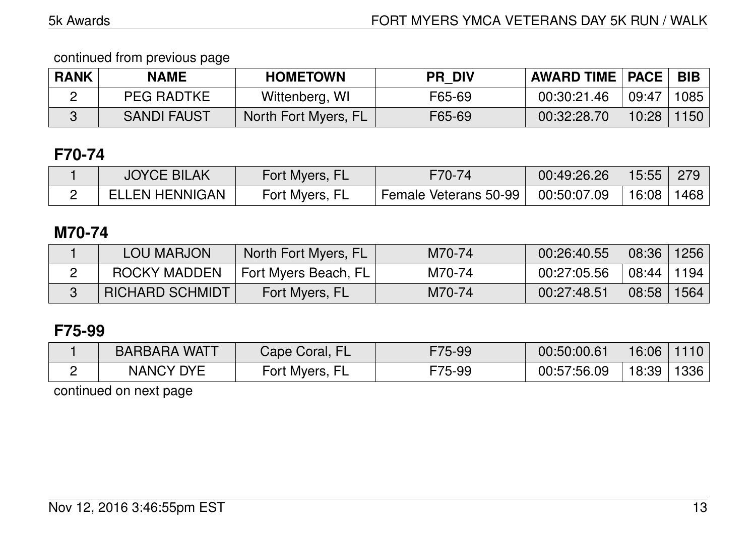| <b>RANK</b> | NAME               | <b>HOMETOWN</b>      | <b>PR DIV</b> | <b>AWARD TIME   PACE  </b> |       | <b>BIB</b> |
|-------------|--------------------|----------------------|---------------|----------------------------|-------|------------|
|             | <b>PEG RADTKE</b>  | Wittenberg, WI       | F65-69        | 00:30:21.46                | 09:47 | 1085       |
|             | <b>SANDI FAUST</b> | North Fort Myers, FL | F65-69        | 00:32:28.70                | 10:28 | 1150       |

# **F70-74**

| <b>JOYCE BILAK</b>    | Fort Myers, FL | F70-74                | 00:49:26.26 | $15:55$ 279              |  |
|-----------------------|----------------|-----------------------|-------------|--------------------------|--|
| <b>ELLEN HENNIGAN</b> | Fort Myers, FL | Female Veterans 50-99 | 00:50:07.09 | $\frac{1}{16.08}$   1468 |  |

### **M70-74**

| <b>LOU MARJON</b>      | North Fort Myers, FL     | M70-74 | 00:26:40.55 | 08:36   1256   |  |
|------------------------|--------------------------|--------|-------------|----------------|--|
| ROCKY MADDEN           | ∣ Fort Myers Beach, FL I | M70-74 | 00:27:05.56 | 08:44 1194     |  |
| <b>RICHARD SCHMIDT</b> | Fort Myers, FL           | M70-74 | 00:27:48.51 | $08:58$   1564 |  |

# **F75-99**

| <b>BARBARA WATT</b> | Cape Coral, FL | F75-99 | 00:50:00.61 | 16:06 | 110  |
|---------------------|----------------|--------|-------------|-------|------|
| <b>NANCY DYE</b>    | Fort Myers,    | F75-99 | 00:57:56.09 | 18:39 | 1336 |